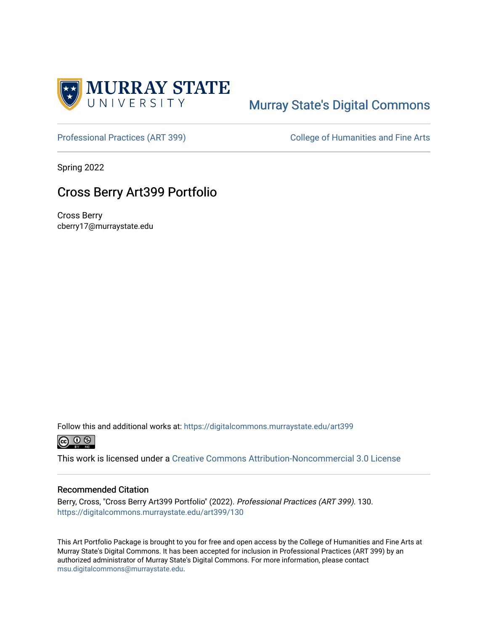

## [Murray State's Digital Commons](https://digitalcommons.murraystate.edu/)

[Professional Practices \(ART 399\)](https://digitalcommons.murraystate.edu/art399) College of Humanities and Fine Arts

Spring 2022

## Cross Berry Art399 Portfolio

Cross Berry cberry17@murraystate.edu

Follow this and additional works at: [https://digitalcommons.murraystate.edu/art399](https://digitalcommons.murraystate.edu/art399?utm_source=digitalcommons.murraystate.edu%2Fart399%2F130&utm_medium=PDF&utm_campaign=PDFCoverPages) 



This work is licensed under a [Creative Commons Attribution-Noncommercial 3.0 License](https://creativecommons.org/licenses/by-nc/3.0/)

## Recommended Citation

Berry, Cross, "Cross Berry Art399 Portfolio" (2022). Professional Practices (ART 399). 130. [https://digitalcommons.murraystate.edu/art399/130](https://digitalcommons.murraystate.edu/art399/130?utm_source=digitalcommons.murraystate.edu%2Fart399%2F130&utm_medium=PDF&utm_campaign=PDFCoverPages) 

This Art Portfolio Package is brought to you for free and open access by the College of Humanities and Fine Arts at Murray State's Digital Commons. It has been accepted for inclusion in Professional Practices (ART 399) by an authorized administrator of Murray State's Digital Commons. For more information, please contact [msu.digitalcommons@murraystate.edu](mailto:msu.digitalcommons@murraystate.edu).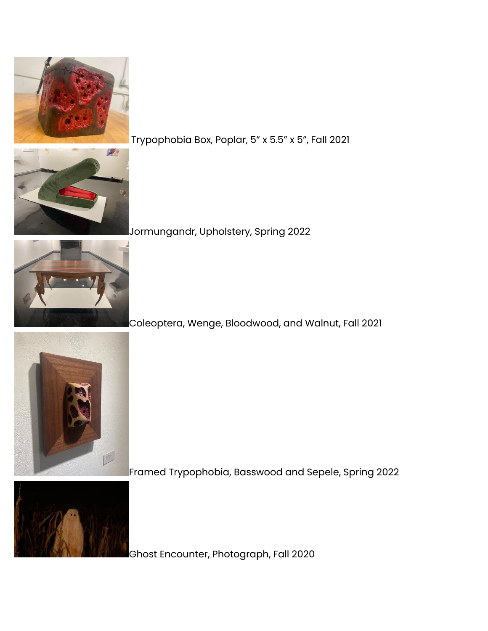

Trypophobia Box, Poplar, 5" x 5.5" x 5", Fall 2021



Jormungandr, Upholstery, Spring 2022



Coleoptera, Wenge, Bloodwood, and Walnut, Fall 2021



Framed Trypophobia, Basswood and Sepele, Spring 2022



Ghost Encounter, Photograph, Fall 2020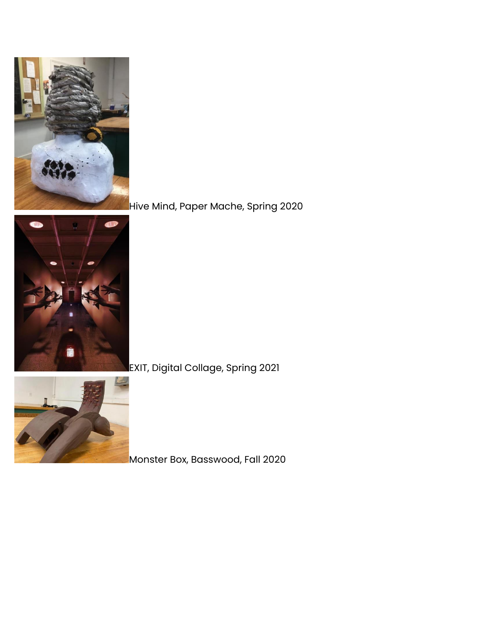

Hive Mind, Paper Mache, Spring 2020



EXIT, Digital Collage, Spring 2021



Monster Box, Basswood, Fall 2020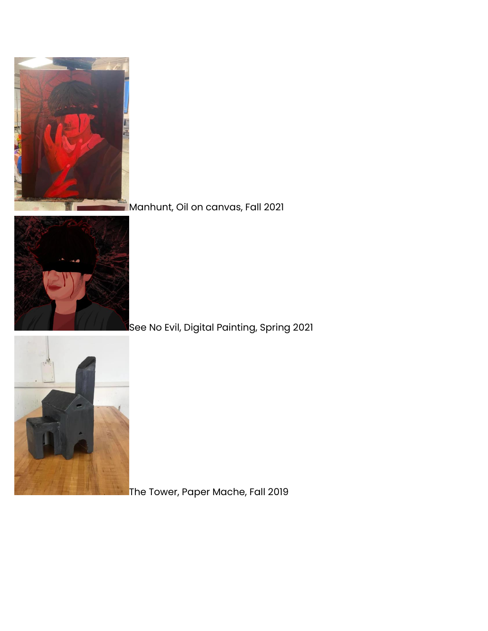

## **Manhunt, Oil on canvas, Fall 2021**



See No Evil, Digital Painting, Spring 2021



The Tower, Paper Mache, Fall 2019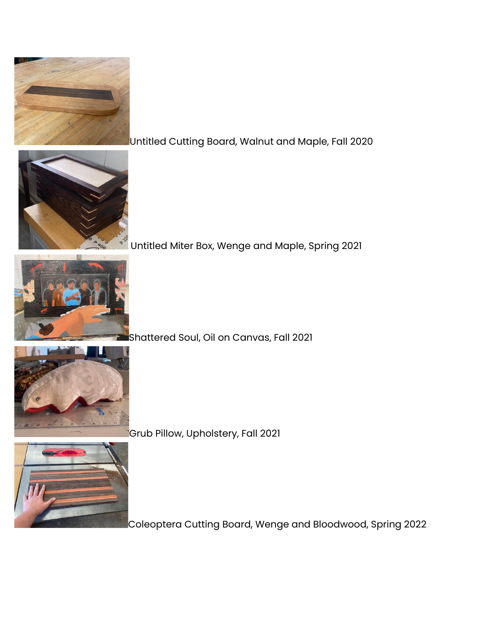

Untitled Cutting Board, Walnut and Maple, Fall 2020



Untitled Miter Box, Wenge and Maple, Spring 2021



Shattered Soul, Oil on Canvas, Fall 2021



Grub Pillow, Upholstery, Fall 2021



Coleoptera Cutting Board, Wenge and Bloodwood, Spring 2022